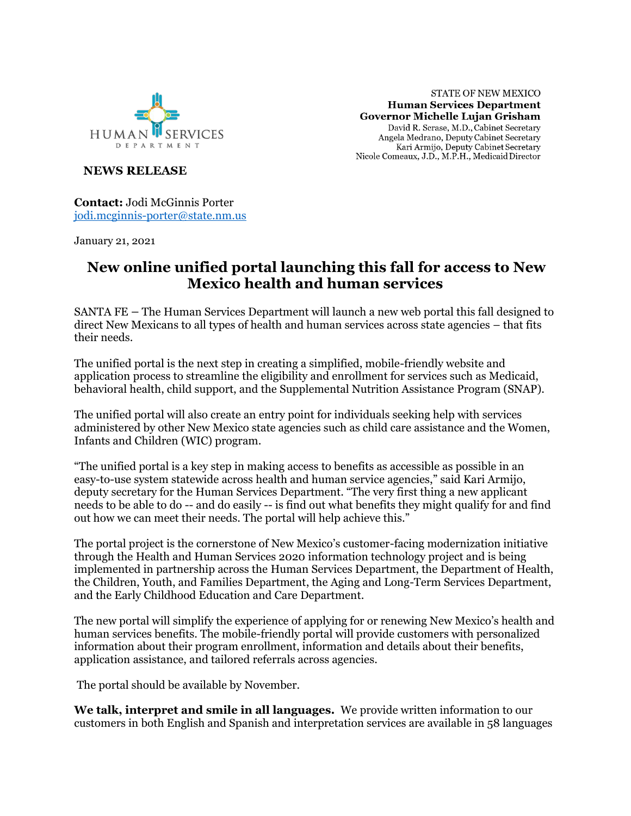

**STATE OF NEW MEXICO Human Services Department** Governor Michelle Lujan Grisham David R. Scrase, M.D., Cabinet Secretary Angela Medrano, Deputy Cabinet Secretary Kari Armijo, Deputy Cabinet Secretary<br>Nicole Comeaux, J.D., M.P.H., Medicaid Director

**NEWS RELEASE** 

**Contact:** Jodi McGinnis Porter [jodi.mcginnis-porter@state.nm.us](mailto:jodi.mcginnis-porter@state.nm.us)

January 21, 2021

## **New online unified portal launching this fall for access to New Mexico health and human services**

SANTA FE – The Human Services Department will launch a new web portal this fall designed to direct New Mexicans to all types of health and human services across state agencies – that fits their needs.

The unified portal is the next step in creating a simplified, mobile-friendly website and application process to streamline the eligibility and enrollment for services such as Medicaid, behavioral health, child support, and the Supplemental Nutrition Assistance Program (SNAP).

The unified portal will also create an entry point for individuals seeking help with services administered by other New Mexico state agencies such as child care assistance and the Women, Infants and Children (WIC) program.

"The unified portal is a key step in making access to benefits as accessible as possible in an easy-to-use system statewide across health and human service agencies," said Kari Armijo, deputy secretary for the Human Services Department. "The very first thing a new applicant needs to be able to do -- and do easily -- is find out what benefits they might qualify for and find out how we can meet their needs. The portal will help achieve this."

The portal project is the cornerstone of New Mexico's customer-facing modernization initiative through the Health and Human Services 2020 information technology project and is being implemented in partnership across the Human Services Department, the Department of Health, the Children, Youth, and Families Department, the Aging and Long-Term Services Department, and the Early Childhood Education and Care Department.

The new portal will simplify the experience of applying for or renewing New Mexico's health and human services benefits. The mobile-friendly portal will provide customers with personalized information about their program enrollment, information and details about their benefits, application assistance, and tailored referrals across agencies.

The portal should be available by November.

**We talk, interpret and smile in all languages.** We provide written information to our customers in both English and Spanish and interpretation services are available in 58 languages